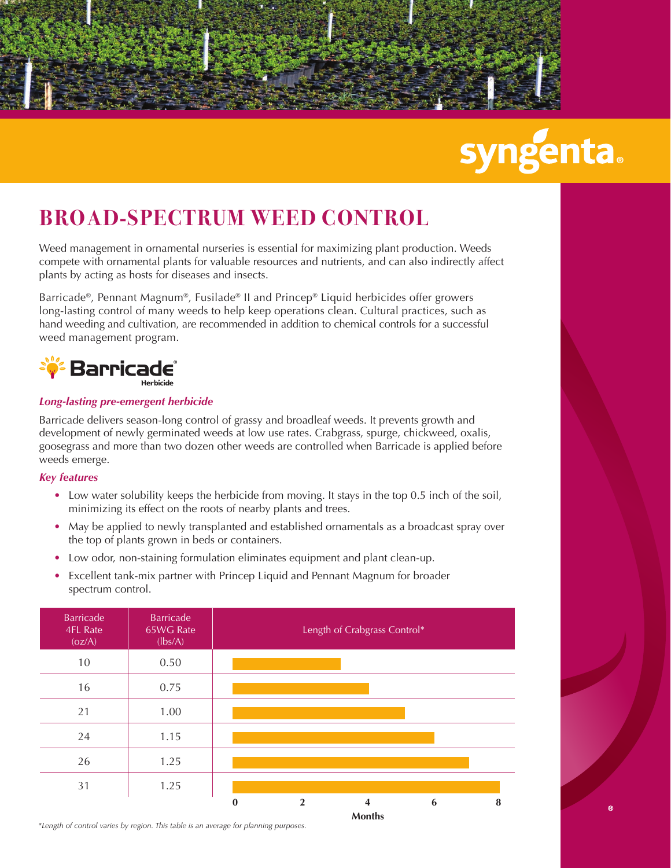

# **syngenta.**

## **BROAD-SPECTRUM WEED CONTROL**

Weed management in ornamental nurseries is essential for maximizing plant production. Weeds compete with ornamental plants for valuable resources and nutrients, and can also indirectly affect plants by acting as hosts for diseases and insects.

Barricade®, Pennant Magnum®, Fusilade® II and Princep® Liquid herbicides offer growers long-lasting control of many weeds to help keep operations clean. Cultural practices, such as hand weeding and cultivation, are recommended in addition to chemical controls for a successful weed management program.



## *Long-lasting pre-emergent herbicide*

Barricade delivers season-long control of grassy and broadleaf weeds. It prevents growth and development of newly germinated weeds at low use rates. Crabgrass, spurge, chickweed, oxalis, goosegrass and more than two dozen other weeds are controlled when Barricade is applied before weeds emerge.

## *Key features*

- Low water solubility keeps the herbicide from moving. It stays in the top 0.5 inch of the soil, minimizing its effect on the roots of nearby plants and trees.
- May be applied to newly transplanted and established ornamentals as a broadcast spray over the top of plants grown in beds or containers.
- Low odor, non-staining formulation eliminates equipment and plant clean-up.
- Excellent tank-mix partner with Princep Liquid and Pennant Magnum for broader spectrum control.

| Barricade<br>4FL Rate<br>(oz/A) | Barricade<br>65WG Rate<br>(lbs/A) |          |                | Length of Crabgrass Control* |   |   |
|---------------------------------|-----------------------------------|----------|----------------|------------------------------|---|---|
| 10                              | 0.50                              |          |                |                              |   |   |
| 16                              | 0.75                              |          |                |                              |   |   |
| 21                              | 1.00                              |          |                |                              |   |   |
| 24                              | 1.15                              |          |                |                              |   |   |
| 26                              | 1.25                              |          |                |                              |   |   |
| 31                              | 1.25                              |          |                |                              |   |   |
|                                 |                                   | $\bf{0}$ | $\overline{2}$ | 4<br><b>Months</b>           | 6 | 8 |

*\*Length of control varies by region. This table is an average for planning purposes.*